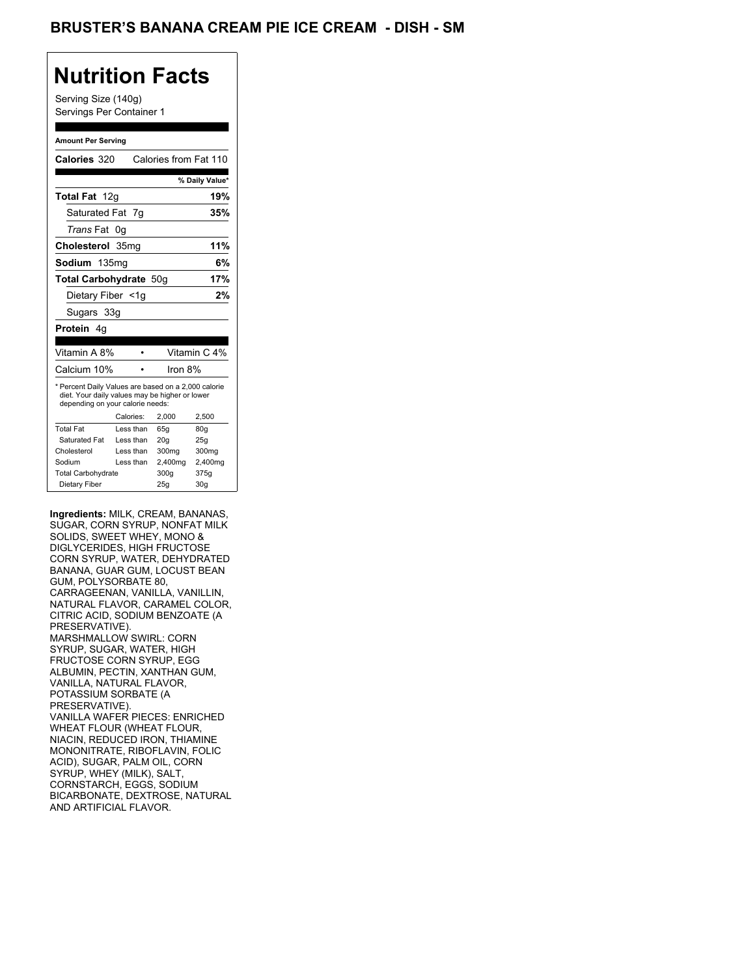## **Nutrition Facts**

Serving Size (140g) Servings Per Container 1

#### **Amount Per Serving**

| Calories 320                                                                                                                              |           | Calories from Fat 110 |                |
|-------------------------------------------------------------------------------------------------------------------------------------------|-----------|-----------------------|----------------|
|                                                                                                                                           |           |                       | % Daily Value* |
| <b>Total Fat</b> 12g                                                                                                                      |           |                       | 19%            |
| Saturated Fat 7g                                                                                                                          |           |                       | 35%            |
| <i>Trans</i> Fat                                                                                                                          | 0q        |                       |                |
| Cholesterol 35mg                                                                                                                          |           |                       | 11%            |
| Sodium 135mg                                                                                                                              |           |                       | 6%             |
| Total Carbohydrate 50q                                                                                                                    |           |                       | 17%            |
| Dietary Fiber <1g                                                                                                                         |           |                       | 2%             |
| Sugars 33g                                                                                                                                |           |                       |                |
| Protein 4q                                                                                                                                |           |                       |                |
|                                                                                                                                           |           |                       |                |
| Vitamin A 8%                                                                                                                              |           |                       | Vitamin C 4%   |
| Calcium 10%                                                                                                                               |           | Iron 8%               |                |
| * Percent Daily Values are based on a 2,000 calorie<br>diet. Your daily values may be higher or lower<br>depending on your calorie needs: |           |                       |                |
|                                                                                                                                           | Calories: | 2,000                 | 2,500          |
| <b>Total Fat</b>                                                                                                                          | Less than | 65q                   | 80q            |
| Saturated Fat                                                                                                                             | Less than | 20q                   | 25q            |
| Cholesterol                                                                                                                               | Less than | 300mg                 | 300mg          |
| Sodium                                                                                                                                    | Less than | 2,400mg               | 2,400mg        |
| <b>Total Carbohydrate</b>                                                                                                                 |           | 300q                  | 375g           |

**Ingredients:** MILK, CREAM, BANANAS, SUGAR, CORN SYRUP, NONFAT MILK SOLIDS, SWEET WHEY, MONO & DIGLYCERIDES, HIGH FRUCTOSE CORN SYRUP, WATER, DEHYDRATED BANANA, GUAR GUM, LOCUST BEAN GUM, POLYSORBATE 80, CARRAGEENAN, VANILLA, VANILLIN, NATURAL FLAVOR, CARAMEL COLOR, CITRIC ACID, SODIUM BENZOATE (A PRESERVATIVE). MARSHMALLOW SWIRL: CORN SYRUP, SUGAR, WATER, HIGH FRUCTOSE CORN SYRUP, EGG ALBUMIN, PECTIN, XANTHAN GUM, VANILLA, NATURAL FLAVOR, POTASSIUM SORBATE (A PRESERVATIVE). VANILLA WAFER PIECES: ENRICHED WHEAT FLOUR (WHEAT FLOUR, NIACIN, REDUCED IRON, THIAMINE MONONITRATE, RIBOFLAVIN, FOLIC ACID), SUGAR, PALM OIL, CORN SYRUP, WHEY (MILK), SALT, CORNSTARCH, EGGS, SODIUM BICARBONATE, DEXTROSE, NATURAL AND ARTIFICIAL FLAVOR.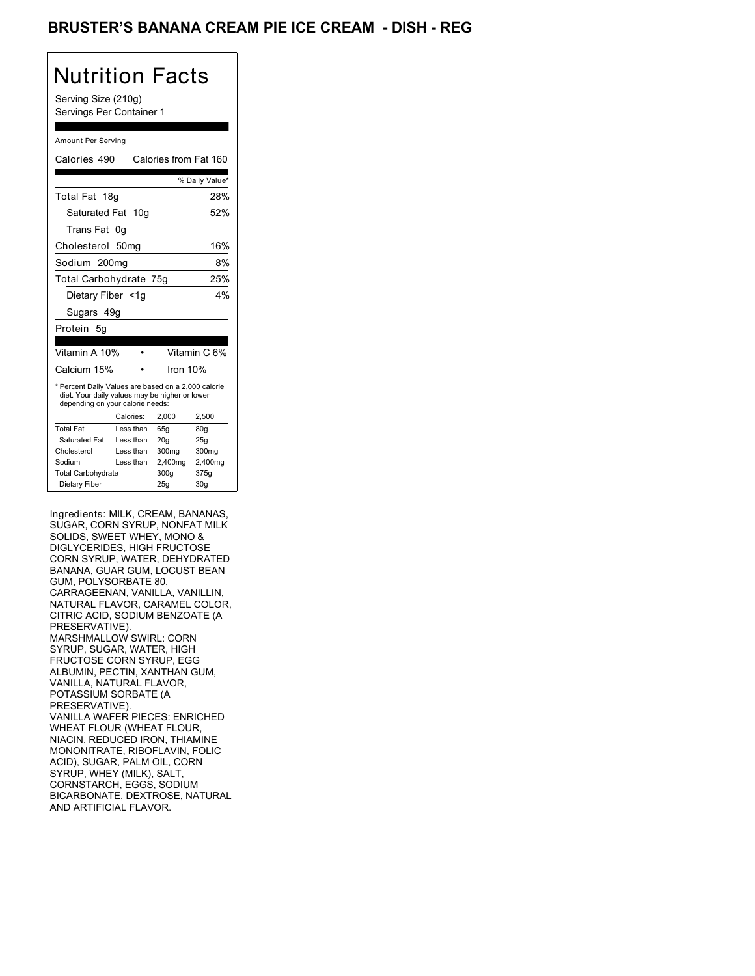## BRUSTER'S BANANA CREAM PIE ICE CREAM - DISH - REG

# Nutrition Facts

Serving Size (210g) Servings Per Container 1

#### Amount Per Serving

| Calories 490                                                                                                                              |           |     |          | Calories from Fat 160 |
|-------------------------------------------------------------------------------------------------------------------------------------------|-----------|-----|----------|-----------------------|
|                                                                                                                                           |           |     |          | % Daily Value*        |
| Total Fat 18g                                                                                                                             |           |     |          | 28%                   |
| Saturated Fat                                                                                                                             |           | 10a |          | 52%                   |
| Trans Fat                                                                                                                                 | 0g        |     |          |                       |
| Cholesterol                                                                                                                               | 50mg      |     |          | 16%                   |
| Sodium 200mg                                                                                                                              |           |     |          | 8%                    |
| Total Carbohydrate 75g                                                                                                                    |           |     |          | 25%                   |
| Dietary Fiber <1g                                                                                                                         |           |     |          | 4%                    |
| Sugars 49g                                                                                                                                |           |     |          |                       |
| Protein<br>5g                                                                                                                             |           |     |          |                       |
| Vitamin A 10%                                                                                                                             |           |     |          | Vitamin C 6%          |
| Calcium 15%                                                                                                                               |           |     | Iron 10% |                       |
| * Percent Daily Values are based on a 2,000 calorie<br>diet. Your daily values may be higher or lower<br>depending on your calorie needs: |           |     |          |                       |
|                                                                                                                                           | Calories: |     | 2.000    | 2,500                 |
| <b>Total Fat</b>                                                                                                                          | Less than |     | 65q      | 80q                   |
| Saturated Fat                                                                                                                             | Less than |     | 20q      | 25q                   |
| Cholesterol                                                                                                                               | Less than |     | 300mg    | 300mg                 |
| Sodium                                                                                                                                    | Less than |     | 2,400mg  | 2,400mg               |
| <b>Total Carbohydrate</b>                                                                                                                 |           |     | 300g     | 375g                  |
| Dietary Fiber                                                                                                                             |           |     | 25g      | 30 <sub>g</sub>       |

Ingredients: MILK, CREAM, BANANAS, SUGAR, CORN SYRUP, NONFAT MILK SOLIDS, SWEET WHEY, MONO & DIGLYCERIDES, HIGH FRUCTOSE CORN SYRUP, WATER, DEHYDRATED BANANA, GUAR GUM, LOCUST BEAN GUM, POLYSORBATE 80, CARRAGEENAN, VANILLA, VANILLIN, NATURAL FLAVOR, CARAMEL COLOR, CITRIC ACID, SODIUM BENZOATE (A PRESERVATIVE). MARSHMALLOW SWIRL: CORN SYRUP, SUGAR, WATER, HIGH FRUCTOSE CORN SYRUP, EGG ALBUMIN, PECTIN, XANTHAN GUM, VANILLA, NATURAL FLAVOR, POTASSIUM SORBATE (A PRESERVATIVE). VANILLA WAFER PIECES: ENRICHED WHEAT FLOUR (WHEAT FLOUR, NIACIN, REDUCED IRON, THIAMINE MONONITRATE, RIBOFLAVIN, FOLIC ACID), SUGAR, PALM OIL, CORN SYRUP, WHEY (MILK), SALT, CORNSTARCH, EGGS, SODIUM BICARBONATE, DEXTROSE, NATURAL AND ARTIFICIAL FLAVOR.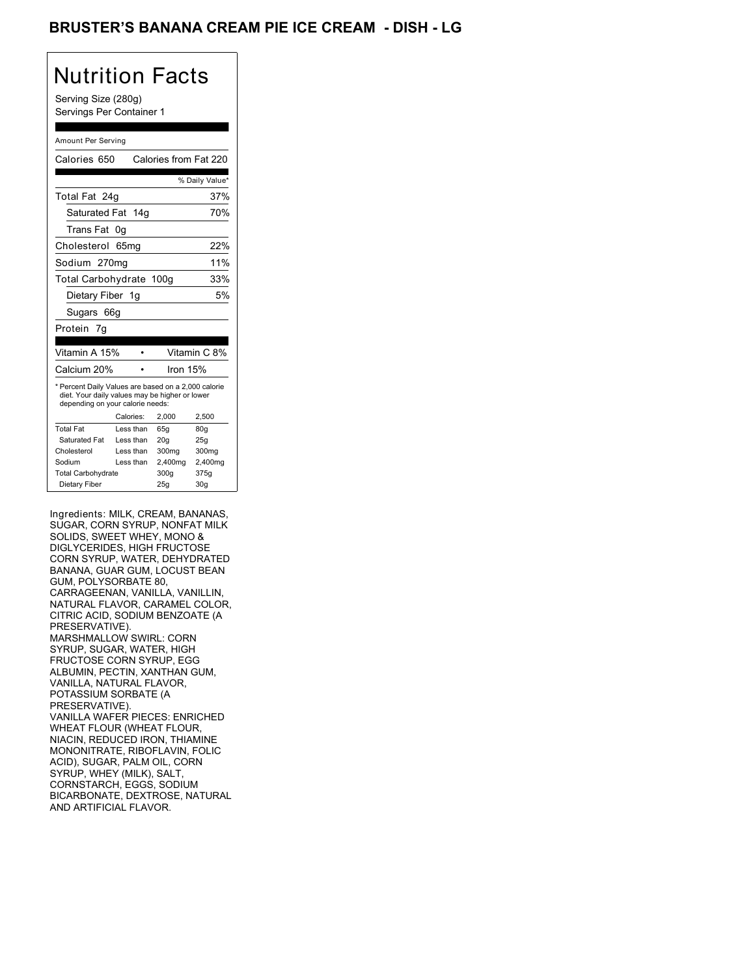## BRUSTER'S BANANA CREAM PIE ICE CREAM - DISH - LG

## Nutrition Facts

Serving Size (280g) Servings Per Container 1

#### Amount Per Serving

| Calories 650                                                                                                                              |           |                 | Calories from Fat 220 |
|-------------------------------------------------------------------------------------------------------------------------------------------|-----------|-----------------|-----------------------|
|                                                                                                                                           |           |                 | % Daily Value*        |
| Total Fat 24q                                                                                                                             |           |                 | 37%                   |
| Saturated Fat                                                                                                                             |           | 14 <sub>g</sub> | 70%                   |
| Trans Fat                                                                                                                                 | 0g        |                 |                       |
| Cholesterol 65mg                                                                                                                          |           |                 | 22%                   |
| Sodium 270mg                                                                                                                              |           |                 | 11%                   |
| Total Carbohydrate 100g                                                                                                                   |           |                 | 33%                   |
| Dietary Fiber 1g                                                                                                                          |           |                 | 5%                    |
| Sugars 66g                                                                                                                                |           |                 |                       |
| Protein<br>7g                                                                                                                             |           |                 |                       |
| Vitamin A 15%                                                                                                                             |           |                 | Vitamin C 8%          |
| Calcium 20%                                                                                                                               |           |                 | Iron $15%$            |
| * Percent Daily Values are based on a 2,000 calorie<br>diet. Your daily values may be higher or lower<br>depending on your calorie needs: |           |                 |                       |
|                                                                                                                                           | Calories: | 2.000           | 2,500                 |
| <b>Total Fat</b>                                                                                                                          | Less than | 65q             | 80q                   |
| Saturated Fat                                                                                                                             | Less than | 20 <sub>g</sub> | 25g                   |
| Cholesterol                                                                                                                               | Less than | 300mg           | 300mg                 |
| Sodium                                                                                                                                    | Less than | 2,400mg         | 2,400mg               |
| <b>Total Carbohydrate</b>                                                                                                                 |           | 300q            | 375g                  |
|                                                                                                                                           |           | 25g             | 30 <sub>g</sub>       |

Ingredients: MILK, CREAM, BANANAS, SUGAR, CORN SYRUP, NONFAT MILK SOLIDS, SWEET WHEY, MONO & DIGLYCERIDES, HIGH FRUCTOSE CORN SYRUP, WATER, DEHYDRATED BANANA, GUAR GUM, LOCUST BEAN GUM, POLYSORBATE 80, CARRAGEENAN, VANILLA, VANILLIN, NATURAL FLAVOR, CARAMEL COLOR, CITRIC ACID, SODIUM BENZOATE (A PRESERVATIVE). MARSHMALLOW SWIRL: CORN SYRUP, SUGAR, WATER, HIGH FRUCTOSE CORN SYRUP, EGG ALBUMIN, PECTIN, XANTHAN GUM, VANILLA, NATURAL FLAVOR, POTASSIUM SORBATE (A PRESERVATIVE). VANILLA WAFER PIECES: ENRICHED WHEAT FLOUR (WHEAT FLOUR, NIACIN, REDUCED IRON, THIAMINE MONONITRATE, RIBOFLAVIN, FOLIC ACID), SUGAR, PALM OIL, CORN SYRUP, WHEY (MILK), SALT, CORNSTARCH, EGGS, SODIUM BICARBONATE, DEXTROSE, NATURAL AND ARTIFICIAL FLAVOR.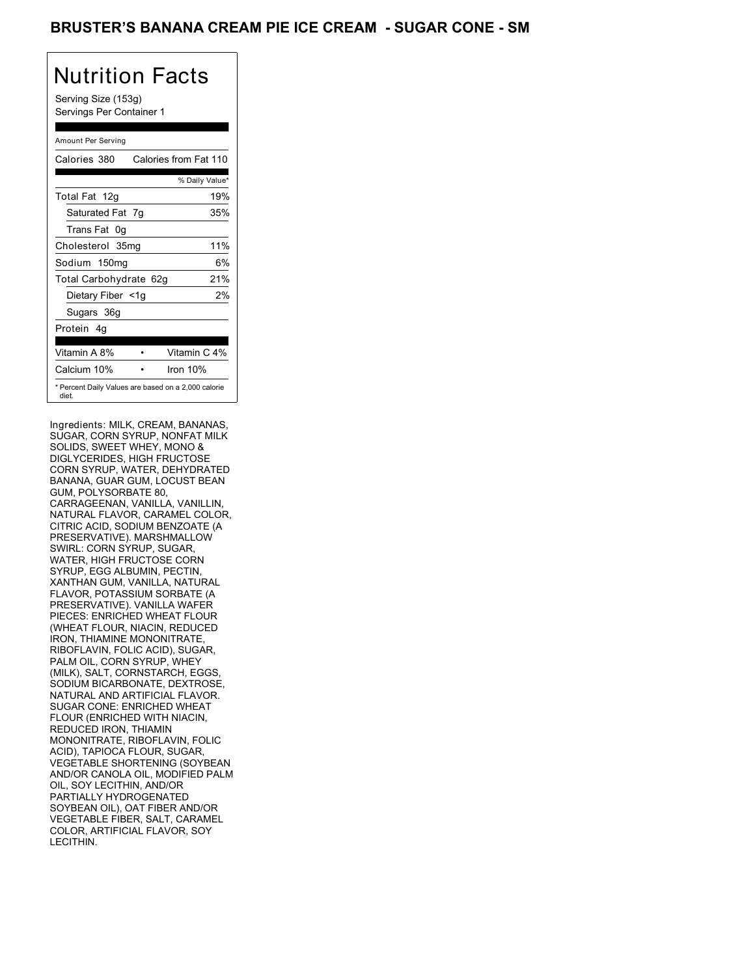### BRUSTER'S BANANA CREAM PIE ICE CREAM - SUGAR CONE - SM

## Nutrition Facts

Serving Size (153g) Servings Per Container 1

### Amount Per Serving

| Calories 380                                                 | Calories from Fat 110 |     |
|--------------------------------------------------------------|-----------------------|-----|
|                                                              | % Daily Value*        |     |
| Total Fat 12g                                                |                       | 19% |
| Saturated Fat 7g                                             |                       | 35% |
| Trans Fat 0g                                                 |                       |     |
| Cholesterol 35mg                                             |                       | 11% |
| Sodium 150mg                                                 |                       | 6%  |
| Total Carbohydrate 62g                                       |                       | 21% |
| Dietary Fiber <1g                                            |                       | 2%  |
| Sugars 36g                                                   |                       |     |
| Protein 4q                                                   |                       |     |
| Vitamin A 8%                                                 | Vitamin C 4%          |     |
| Calcium 10%                                                  | Iron $10%$            |     |
| * Percent Daily Values are based on a 2,000 calorie<br>diet. |                       |     |

Ingredients: MILK, CREAM, BANANAS, SUGAR, CORN SYRUP, NONFAT MILK SOLIDS, SWEET WHEY, MONO & DIGLYCERIDES, HIGH FRUCTOSE CORN SYRUP, WATER, DEHYDRATED BANANA, GUAR GUM, LOCUST BEAN GUM, POLYSORBATE 80, CARRAGEENAN, VANILLA, VANILLIN, NATURAL FLAVOR, CARAMEL COLOR, CITRIC ACID, SODIUM BENZOATE (A PRESERVATIVE). MARSHMALLOW SWIRL: CORN SYRUP, SUGAR, WATER, HIGH FRUCTOSE CORN SYRUP, EGG ALBUMIN, PECTIN, XANTHAN GUM, VANILLA, NATURAL FLAVOR, POTASSIUM SORBATE (A PRESERVATIVE). VANILLA WAFER PIECES: ENRICHED WHEAT FLOUR (WHEAT FLOUR, NIACIN, REDUCED IRON, THIAMINE MONONITRATE, RIBOFLAVIN, FOLIC ACID), SUGAR, PALM OIL, CORN SYRUP, WHEY (MILK), SALT, CORNSTARCH, EGGS, SODIÚM BICARBONATE, DEXTROSE, NATURAL AND ARTIFICIAL FLAVOR. SUGAR CONE: ENRICHED WHEAT FLOUR (ENRICHED WITH NIACIN, REDUCED IRON, THIAMIN MONONITRATE, RIBOFLAVIN, FOLIC ACID), TAPIOCA FLOUR, SUGAR, VEGETABLE SHORTENING (SOYBEAN AND/OR CANOLA OIL, MODIFIED PALM OIL, SOY LECITHIN, AND/OR PARTIALLY HYDROGENATED SOYBEAN OIL), OAT FIBER AND/OR VEGETABLE FIBER, SALT, CARAMEL COLOR, ARTIFICIAL FLAVOR, SOY LECITHIN.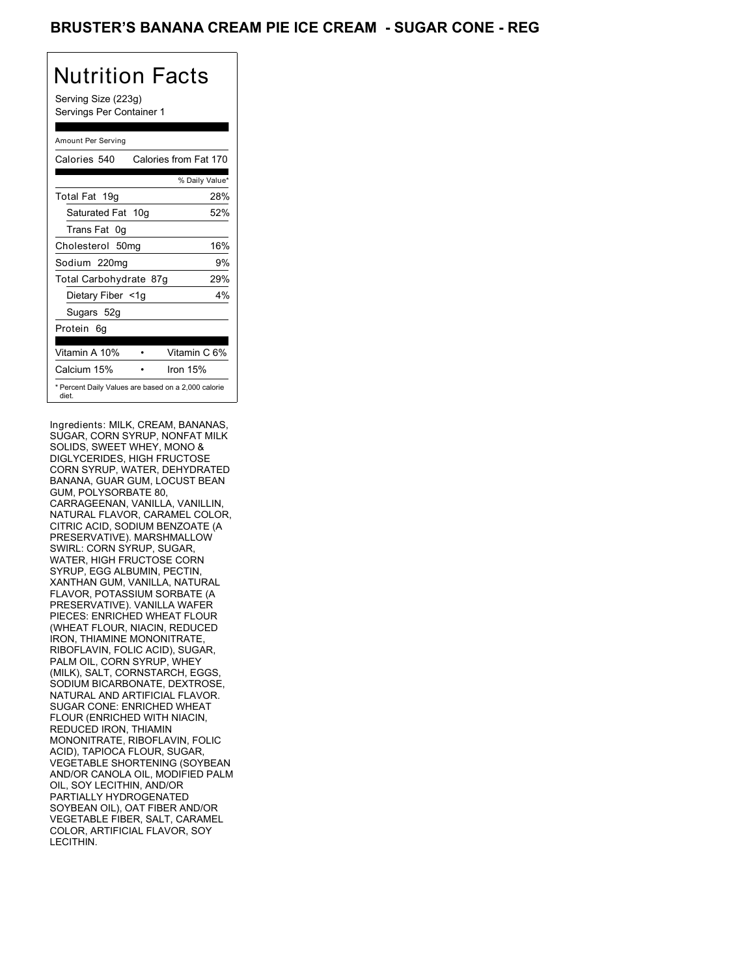## BRUSTER'S BANANA CREAM PIE ICE CREAM - SUGAR CONE - REG

# Nutrition Facts

Serving Size (223g) Servings Per Container 1

#### Amount Per Serving

| Calories 540           | Calories from Fat 170                               |
|------------------------|-----------------------------------------------------|
|                        | % Daily Value*                                      |
| Total Fat 19g          | 28%                                                 |
| Saturated Fat 10g      | 52%                                                 |
| Trans Fat 0q           |                                                     |
| Cholesterol 50mg       | 16%                                                 |
| Sodium 220mg           | 9%                                                  |
| Total Carbohydrate 87g | 29%                                                 |
| Dietary Fiber <1g      | 4%                                                  |
| Sugars 52g             |                                                     |
| Protein 6q             |                                                     |
| Vitamin A 10%          | Vitamin C 6%                                        |
| Calcium 15%            | Iron 15%                                            |
| diet.                  | * Percent Daily Values are based on a 2,000 calorie |

Ingredients: MILK, CREAM, BANANAS, SUGAR, CORN SYRUP, NONFAT MILK SOLIDS, SWEET WHEY, MONO & DIGLYCERIDES, HIGH FRUCTOSE CORN SYRUP, WATER, DEHYDRATED BANANA, GUAR GUM, LOCUST BEAN GUM, POLYSORBATE 80, CARRAGEENAN, VANILLA, VANILLIN, NATURAL FLAVOR, CARAMEL COLOR, CITRIC ACID, SODIUM BENZOATE (A PRESERVATIVE). MARSHMALLOW SWIRL: CORN SYRUP, SUGAR, WATER, HIGH FRUCTOSE CORN SYRUP, EGG ALBUMIN, PECTIN, XANTHAN GUM, VANILLA, NATURAL FLAVOR, POTASSIUM SORBATE (A PRESERVATIVE). VANILLA WAFER PIECES: ENRICHED WHEAT FLOUR (WHEAT FLOUR, NIACIN, REDUCED IRON, THIAMINE MONONITRATE, RIBOFLAVIN, FOLIC ACID), SUGAR, PALM OIL, CORN SYRUP, WHEY (MILK), SALT, CORNSTARCH, EGGS, SODIÚM BICARBONATE, DEXTROSE, NATURAL AND ARTIFICIAL FLAVOR. SUGAR CONE: ENRICHED WHEAT FLOUR (ENRICHED WITH NIACIN, REDUCED IRON, THIAMIN MONONITRATE, RIBOFLAVIN, FOLIC ACID), TAPIOCA FLOUR, SUGAR, VEGETABLE SHORTENING (SOYBEAN AND/OR CANOLA OIL, MODIFIED PALM OIL, SOY LECITHIN, AND/OR PARTIALLY HYDROGENATED SOYBEAN OIL), OAT FIBER AND/OR VEGETABLE FIBER, SALT, CARAMEL COLOR, ARTIFICIAL FLAVOR, SOY LECITHIN.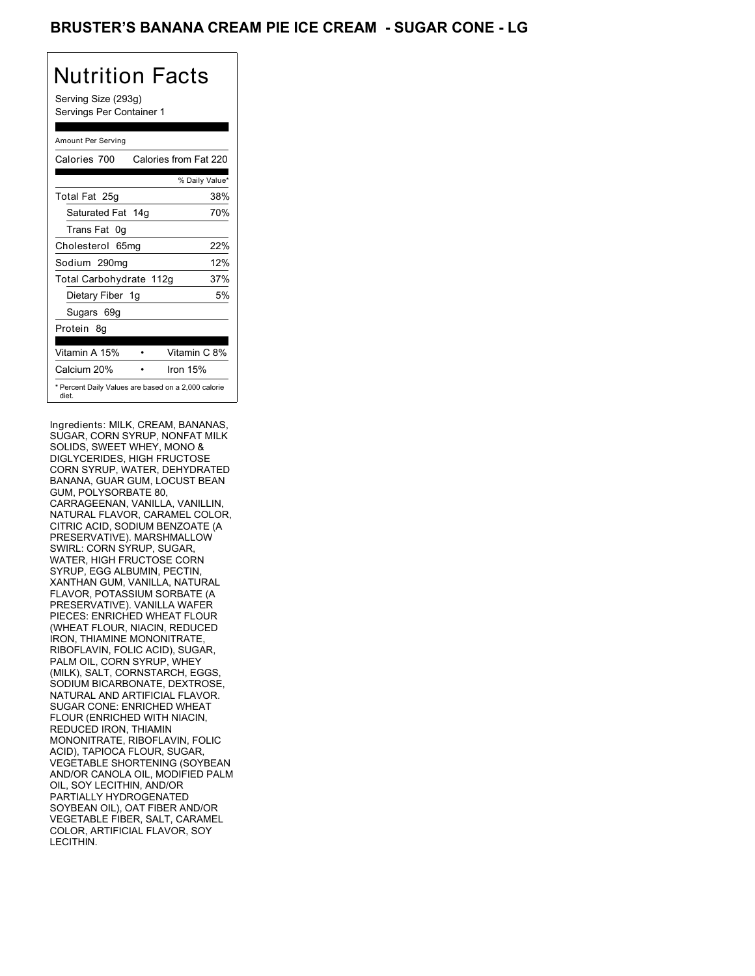## BRUSTER'S BANANA CREAM PIE ICE CREAM - SUGAR CONE - LG

## Nutrition Facts

Serving Size (293g) Servings Per Container 1

### Amount Per Serving

| Calories 700            | Calories from Fat 220                               |
|-------------------------|-----------------------------------------------------|
|                         | % Daily Value*                                      |
| Total Fat 25g           | 38%                                                 |
| Saturated Fat 14g       | 70%                                                 |
| Trans Fat 0g            |                                                     |
| Cholesterol 65mg        | 22%                                                 |
| Sodium 290mg            | 12%                                                 |
| Total Carbohydrate 112g | 37%                                                 |
| Dietary Fiber 1g        | 5%                                                  |
| Sugars 69g              |                                                     |
| Protein 8q              |                                                     |
| Vitamin A 15%           | Vitamin C 8%                                        |
| Calcium 20%             | Iron $15%$                                          |
| diet.                   | * Percent Daily Values are based on a 2,000 calorie |

Ingredients: MILK, CREAM, BANANAS, SUGAR, CORN SYRUP, NONFAT MILK SOLIDS, SWEET WHEY, MONO & DIGLYCERIDES, HIGH FRUCTOSE CORN SYRUP, WATER, DEHYDRATED BANANA, GUAR GUM, LOCUST BEAN GUM, POLYSORBATE 80, CARRAGEENAN, VANILLA, VANILLIN, NATURAL FLAVOR, CARAMEL COLOR, CITRIC ACID, SODIUM BENZOATE (A PRESERVATIVE). MARSHMALLOW SWIRL: CORN SYRUP, SUGAR, WATER, HIGH FRUCTOSE CORN SYRUP, EGG ALBUMIN, PECTIN, XANTHAN GUM, VANILLA, NATURAL FLAVOR, POTASSIUM SORBATE (A PRESERVATIVE). VANILLA WAFER PIECES: ENRICHED WHEAT FLOUR (WHEAT FLOUR, NIACIN, REDUCED IRON, THIAMINE MONONITRATE, RIBOFLAVIN, FOLIC ACID), SUGAR, PALM OIL, CORN SYRUP, WHEY (MILK), SALT, CORNSTARCH, EGGS, SODIÚM BICARBONATE, DEXTROSE, NATURAL AND ARTIFICIAL FLAVOR. SUGAR CONE: ENRICHED WHEAT FLOUR (ENRICHED WITH NIACIN, REDUCED IRON, THIAMIN MONONITRATE, RIBOFLAVIN, FOLIC ACID), TAPIOCA FLOUR, SUGAR, VEGETABLE SHORTENING (SOYBEAN AND/OR CANOLA OIL, MODIFIED PALM OIL, SOY LECITHIN, AND/OR PARTIALLY HYDROGENATED SOYBEAN OIL), OAT FIBER AND/OR VEGETABLE FIBER, SALT, CARAMEL COLOR, ARTIFICIAL FLAVOR, SOY LECITHIN.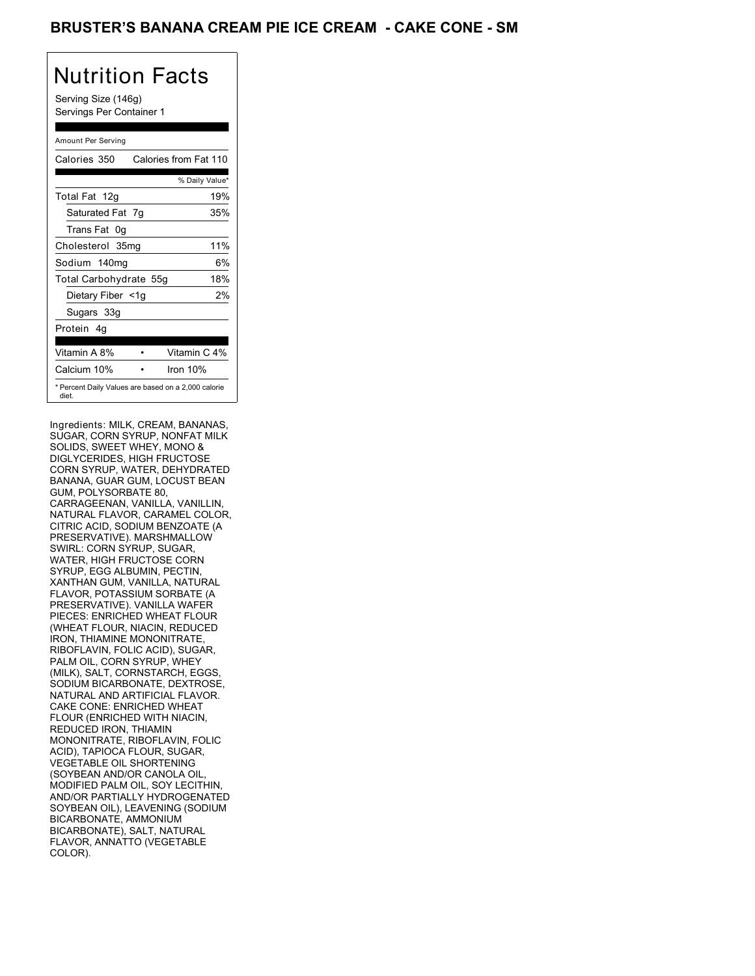## BRUSTER'S BANANA CREAM PIE ICE CREAM - CAKE CONE - SM

# Nutrition Facts

Serving Size (146g) Servings Per Container 1

### Amount Per Serving

| Calories 350           | Calories from Fat 110                               |
|------------------------|-----------------------------------------------------|
|                        | % Daily Value*                                      |
| Total Fat 12g          | 19%                                                 |
| Saturated Fat 7g       | 35%                                                 |
| Trans Fat 0q           |                                                     |
| Cholesterol 35mg       | 11%                                                 |
| Sodium 140mg           | 6%                                                  |
| Total Carbohydrate 55g | 18%                                                 |
| Dietary Fiber <1g      | 2%                                                  |
| Sugars 33g             |                                                     |
| Protein 4q             |                                                     |
| Vitamin A 8%           | Vitamin C 4%                                        |
| Calcium 10%            | Iron $10%$                                          |
| diet.                  | * Percent Daily Values are based on a 2,000 calorie |

Ingredients: MILK, CREAM, BANANAS, SUGAR, CORN SYRUP, NONFAT MILK SOLIDS, SWEET WHEY, MONO & DIGLYCERIDES, HIGH FRUCTOSE CORN SYRUP, WATER, DEHYDRATED BANANA, GUAR GUM, LOCUST BEAN GUM, POLYSORBATE 80, CARRAGEENAN, VANILLA, VANILLIN, NATURAL FLAVOR, CARAMEL COLOR, CITRIC ACID, SODIUM BENZOATE (A PRESERVATIVE). MARSHMALLOW SWIRL: CORN SYRUP, SUGAR, WATER, HIGH FRUCTOSE CORN SYRUP, EGG ALBUMIN, PECTIN, XANTHAN GUM, VANILLA, NATURAL FLAVOR, POTASSIUM SORBATE (A PRESERVATIVE). VANILLA WAFER PIECES: ENRICHED WHEAT FLOUR (WHEAT FLOUR, NIACIN, REDUCED IRON, THIAMINE MONONITRATE, RIBOFLAVIN, FOLIC ACID), SUGAR, PALM OIL, CORN SYRUP, WHEY (MILK), SALT, CORNSTARCH, EGGS, SODIÚM BICARBONATE, DEXTROSE, NATURAL AND ARTIFICIAL FLAVOR. CAKE CONE: ENRICHED WHEAT FLOUR (ENRICHED WITH NIACIN, REDUCED IRON, THIAMIN MONONITRATE, RIBOFLAVIN, FOLIC ACID), TAPIOCA FLOUR, SUGAR, VEGETABLE OIL SHORTENING (SOYBEAN AND/OR CANOLA OIL, MODIFIED PALM OIL, SOY LECITHIN, AND/OR PARTIALLY HYDROGENATED SOYBEAN OIL), LEAVENING (SODIUM BICARBONATE, AMMONIUM BICARBONATE), SALT, NATURAL FLAVOR, ANNATTO (VEGETABLE COLOR).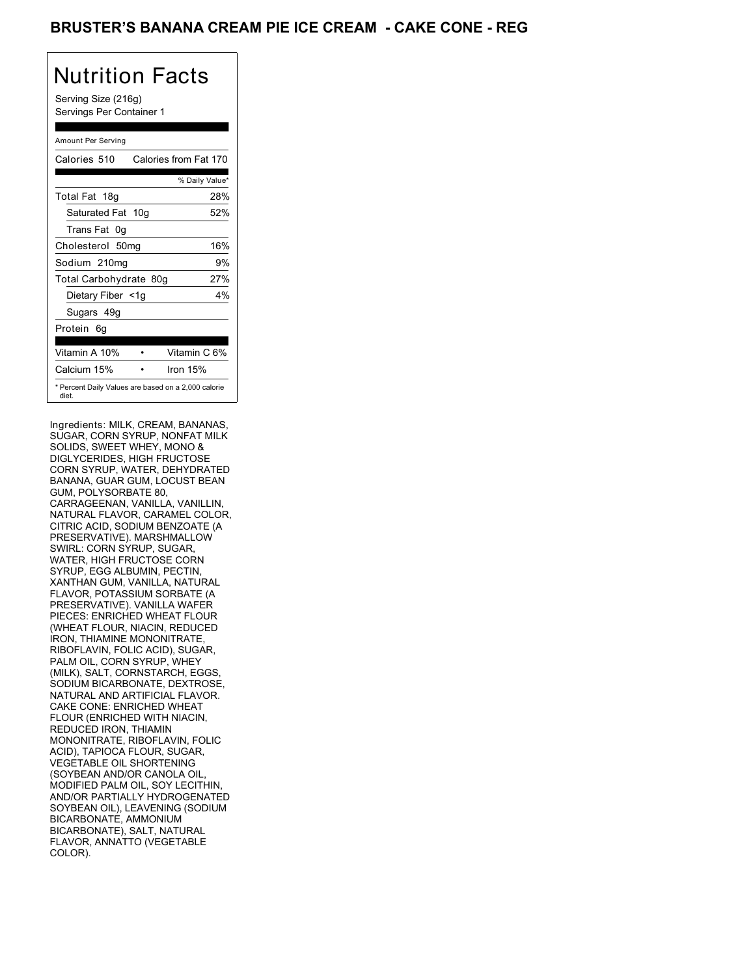## BRUSTER'S BANANA CREAM PIE ICE CREAM - CAKE CONE - REG

# Nutrition Facts

Serving Size (216g) Servings Per Container 1

### Amount Per Serving

| Calories 510           | Calories from Fat 170                               |
|------------------------|-----------------------------------------------------|
|                        | % Daily Value*                                      |
| Total Fat 18g          | 28%                                                 |
| Saturated Fat 10g      | 52%                                                 |
| Trans Fat 0q           |                                                     |
| Cholesterol 50mg       | 16%                                                 |
| Sodium 210mg           | 9%                                                  |
| Total Carbohydrate 80g | 27%                                                 |
| Dietary Fiber <1g      | $4\%$                                               |
| Sugars 49g             |                                                     |
| Protein 6q             |                                                     |
| Vitamin A 10%          | Vitamin C 6%                                        |
| Calcium 15%            | Iron $15%$                                          |
| diet.                  | * Percent Daily Values are based on a 2,000 calorie |

Ingredients: MILK, CREAM, BANANAS, SUGAR, CORN SYRUP, NONFAT MILK SOLIDS, SWEET WHEY, MONO & DIGLYCERIDES, HIGH FRUCTOSE CORN SYRUP, WATER, DEHYDRATED BANANA, GUAR GUM, LOCUST BEAN GUM, POLYSORBATE 80, CARRAGEENAN, VANILLA, VANILLIN, NATURAL FLAVOR, CARAMEL COLOR, CITRIC ACID, SODIUM BENZOATE (A PRESERVATIVE). MARSHMALLOW SWIRL: CORN SYRUP, SUGAR, WATER, HIGH FRUCTOSE CORN SYRUP, EGG ALBUMIN, PECTIN, XANTHAN GUM, VANILLA, NATURAL FLAVOR, POTASSIUM SORBATE (A PRESERVATIVE). VANILLA WAFER PIECES: ENRICHED WHEAT FLOUR (WHEAT FLOUR, NIACIN, REDUCED IRON, THIAMINE MONONITRATE, RIBOFLAVIN, FOLIC ACID), SUGAR, PALM OIL, CORN SYRUP, WHEY (MILK), SALT, CORNSTARCH, EGGS, SODIÚM BICARBONATE, DEXTROSE, NATURAL AND ARTIFICIAL FLAVOR. CAKE CONE: ENRICHED WHEAT FLOUR (ENRICHED WITH NIACIN, REDUCED IRON, THIAMIN MONONITRATE, RIBOFLAVIN, FOLIC ACID), TAPIOCA FLOUR, SUGAR, VEGETABLE OIL SHORTENING (SOYBEAN AND/OR CANOLA OIL, MODIFIED PALM OIL, SOY LECITHIN, AND/OR PARTIALLY HYDROGENATED SOYBEAN OIL), LEAVENING (SODIUM BICARBONATE, AMMONIUM BICARBONATE), SALT, NATURAL FLAVOR, ANNATTO (VEGETABLE COLOR).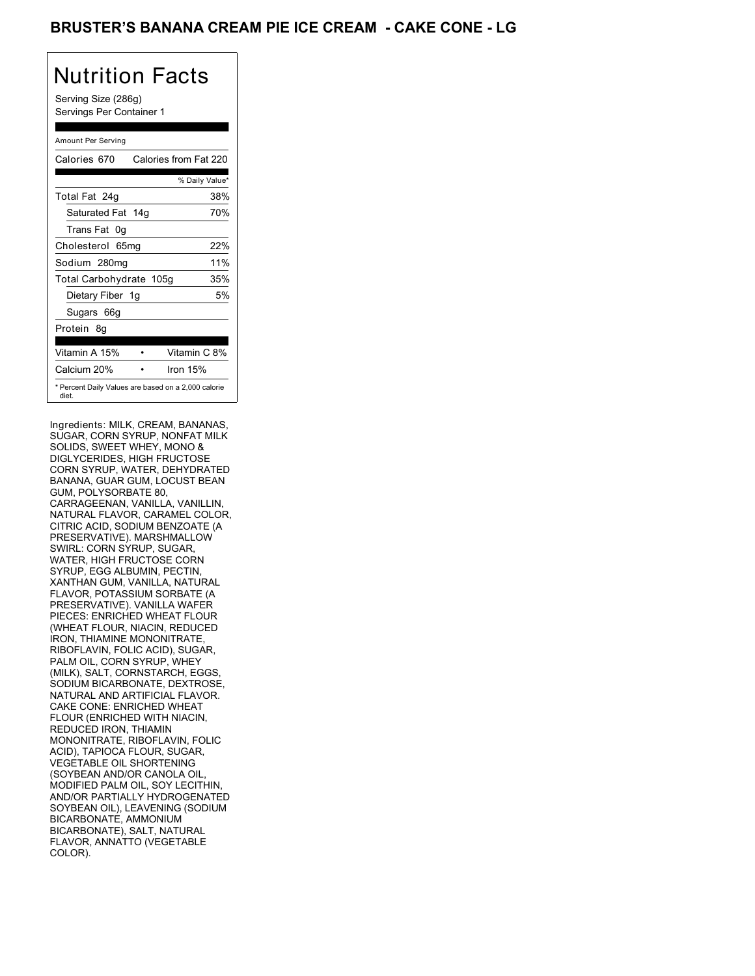## BRUSTER'S BANANA CREAM PIE ICE CREAM - CAKE CONE - LG

# Nutrition Facts

Serving Size (286g) Servings Per Container 1

### Amount Per Serving

| Calories 670                                                 |            | Calories from Fat 220 |
|--------------------------------------------------------------|------------|-----------------------|
|                                                              |            | % Daily Value*        |
| Total Fat 24g                                                |            | 38%                   |
| Saturated Fat 14g                                            |            | 70%                   |
| Trans Fat 0g                                                 |            |                       |
| Cholesterol 65mg                                             |            | 22%                   |
| Sodium 280mg                                                 |            | 11%                   |
| Total Carbohydrate 105g                                      |            | 35%                   |
| Dietary Fiber 1g                                             |            | 5%                    |
| Sugars 66g                                                   |            |                       |
| Protein 8q                                                   |            |                       |
| Vitamin A 15%                                                |            | Vitamin C 8%          |
| Calcium 20%                                                  | Iron $15%$ |                       |
| * Percent Daily Values are based on a 2,000 calorie<br>diet. |            |                       |

Ingredients: MILK, CREAM, BANANAS, SUGAR, CORN SYRUP, NONFAT MILK SOLIDS, SWEET WHEY, MONO & DIGLYCERIDES, HIGH FRUCTOSE CORN SYRUP, WATER, DEHYDRATED BANANA, GUAR GUM, LOCUST BEAN GUM, POLYSORBATE 80, CARRAGEENAN, VANILLA, VANILLIN, NATURAL FLAVOR, CARAMEL COLOR, CITRIC ACID, SODIUM BENZOATE (A PRESERVATIVE). MARSHMALLOW SWIRL: CORN SYRUP, SUGAR, WATER, HIGH FRUCTOSE CORN SYRUP, EGG ALBUMIN, PECTIN, XANTHAN GUM, VANILLA, NATURAL FLAVOR, POTASSIUM SORBATE (A PRESERVATIVE). VANILLA WAFER PIECES: ENRICHED WHEAT FLOUR (WHEAT FLOUR, NIACIN, REDUCED IRON, THIAMINE MONONITRATE, RIBOFLAVIN, FOLIC ACID), SUGAR, PALM OIL, CORN SYRUP, WHEY (MILK), SALT, CORNSTARCH, EGGS, SODIÚM BICARBONATE, DEXTROSE, NATURAL AND ARTIFICIAL FLAVOR. CAKE CONE: ENRICHED WHEAT FLOUR (ENRICHED WITH NIACIN, REDUCED IRON, THIAMIN MONONITRATE, RIBOFLAVIN, FOLIC ACID), TAPIOCA FLOUR, SUGAR, VEGETABLE OIL SHORTENING (SOYBEAN AND/OR CANOLA OIL, MODIFIED PALM OIL, SOY LECITHIN, AND/OR PARTIALLY HYDROGENATED SOYBEAN OIL), LEAVENING (SODIUM BICARBONATE, AMMONIUM BICARBONATE), SALT, NATURAL FLAVOR, ANNATTO (VEGETABLE COLOR).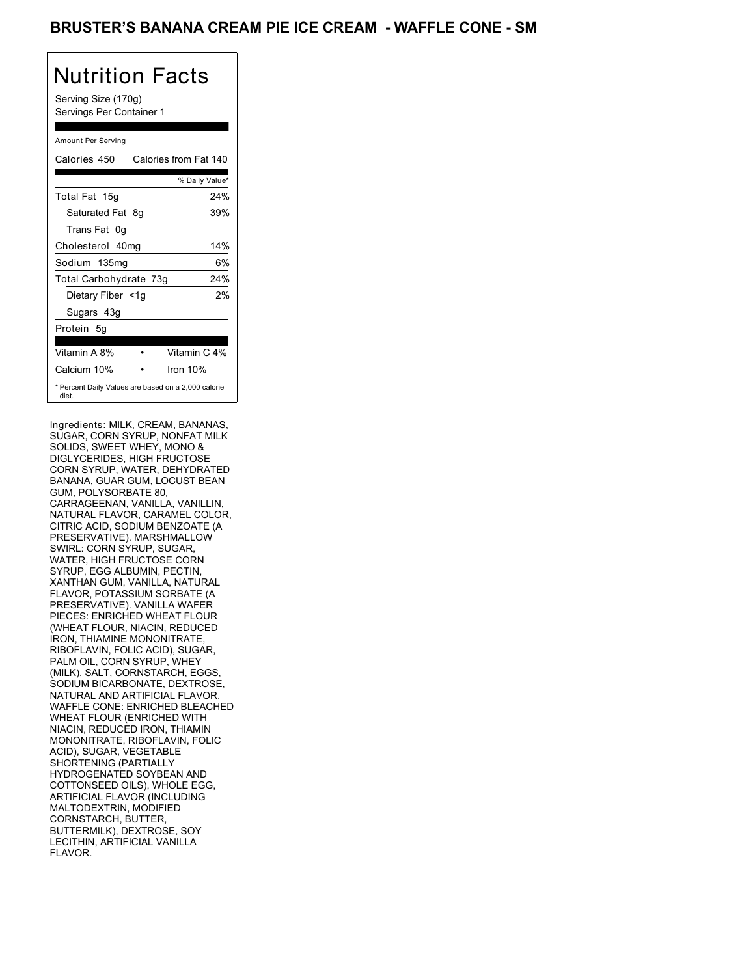### BRUSTER'S BANANA CREAM PIE ICE CREAM - WAFFLE CONE - SM

# Nutrition Facts

Serving Size (170g) Servings Per Container 1

### Amount Per Serving

| Calories 450           | Calories from Fat 140                               |
|------------------------|-----------------------------------------------------|
|                        | % Daily Value*                                      |
| Total Fat 15g          | 24%                                                 |
| Saturated Fat 8g       | 39%                                                 |
| Trans Fat 0q           |                                                     |
| Cholesterol 40mg       | 14%                                                 |
| Sodium 135mg           | 6%                                                  |
| Total Carbohydrate 73g | 24%                                                 |
| Dietary Fiber <1g      | 2%                                                  |
| Sugars 43g             |                                                     |
| Protein 5q             |                                                     |
| Vitamin A 8%           | Vitamin C 4%                                        |
| Calcium 10%            | Iron 10%                                            |
| diet.                  | * Percent Daily Values are based on a 2,000 calorie |

Ingredients: MILK, CREAM, BANANAS, SUGAR, CORN SYRUP, NONFAT MILK SOLIDS, SWEET WHEY, MONO & DIGLYCERIDES, HIGH FRUCTOSE CORN SYRUP, WATER, DEHYDRATED BANANA, GUAR GUM, LOCUST BEAN GUM, POLYSORBATE 80, CARRAGEENAN, VANILLA, VANILLIN, NATURAL FLAVOR, CARAMEL COLOR, CITRIC ACID, SODIUM BENZOATE (A PRESERVATIVE). MARSHMALLOW SWIRL: CORN SYRUP, SUGAR, WATER, HIGH FRUCTOSE CORN SYRUP, EGG ALBUMIN, PECTIN, XANTHAN GUM, VANILLA, NATURAL FLAVOR, POTASSIUM SORBATE (A PRESERVATIVE). VANILLA WAFER PIECES: ENRICHED WHEAT FLOUR (WHEAT FLOUR, NIACIN, REDUCED IRON, THIAMINE MONONITRATE, RIBOFLAVIN, FOLIC ACID), SUGAR, PALM OIL, CORN SYRUP, WHEY (MILK), SALT, CORNSTARCH, EGGS, SODIÚM BICARBONATE, DEXTROSE, NATURAL AND ARTIFICIAL FLAVOR. WAFFLE CONE: ENRICHED BLEACHED WHEAT FLOUR (ENRICHED WITH NIACIN, REDUCED IRON, THIAMIN MONONITRATE, RIBOFLAVIN, FOLIC ACID), SUGAR, VEGETABLE SHORTENING (PARTIALLY HYDROGENATED SOYBEAN AND COTTONSEED OILS), WHOLE EGG, ARTIFICIAL FLAVOR (INCLUDING MALTODEXTRIN, MODIFIED CORNSTARCH, BUTTER, BUTTERMILK), DEXTROSE, SOY LECITHIN, ARTIFICIAL VANILLA FLAVOR.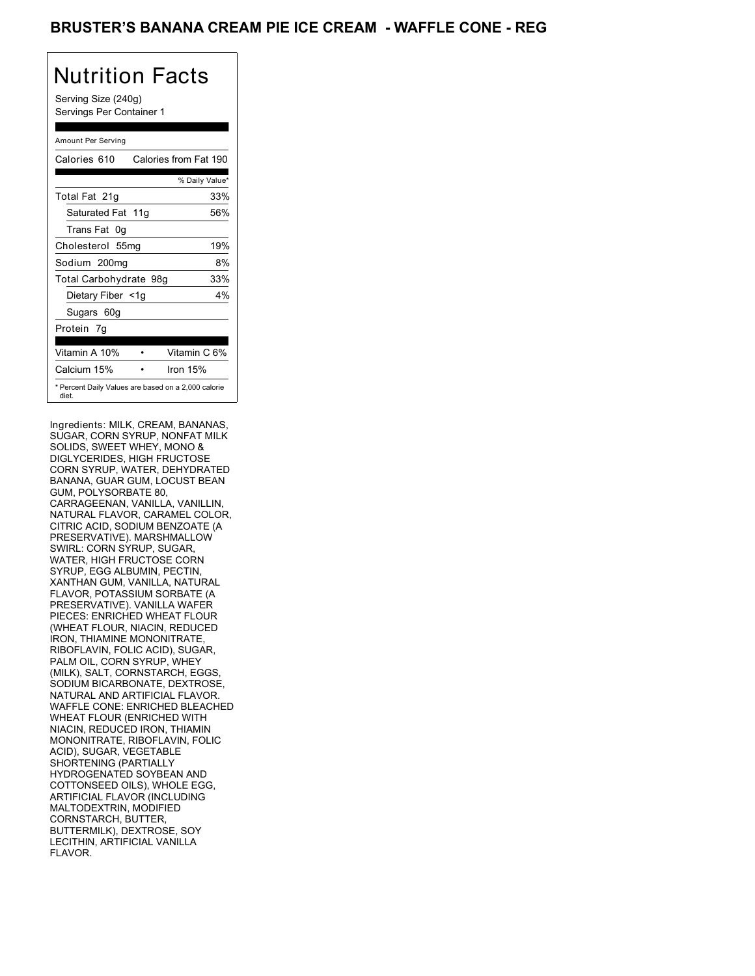## BRUSTER'S BANANA CREAM PIE ICE CREAM - WAFFLE CONE - REG

# Nutrition Facts

Serving Size (240g) Servings Per Container 1

#### Amount Per Serving

| Calories 610           | Calories from Fat 190                               |
|------------------------|-----------------------------------------------------|
|                        | % Daily Value*                                      |
| Total Fat 21g          | 33%                                                 |
| Saturated Fat 11g      | 56%                                                 |
| Trans Fat 0q           |                                                     |
| Cholesterol 55mg       | 19%                                                 |
| Sodium 200mg           | 8%                                                  |
| Total Carbohydrate 98g | 33%                                                 |
| Dietary Fiber <1g      | 4%                                                  |
| Sugars 60g             |                                                     |
| Protein 7q             |                                                     |
| Vitamin A 10%          | Vitamin C 6%                                        |
| Calcium 15%            | Iron 15%                                            |
| diet.                  | * Percent Daily Values are based on a 2,000 calorie |

Ingredients: MILK, CREAM, BANANAS, SUGAR, CORN SYRUP, NONFAT MILK SOLIDS, SWEET WHEY, MONO & DIGLYCERIDES, HIGH FRUCTOSE CORN SYRUP, WATER, DEHYDRATED BANANA, GUAR GUM, LOCUST BEAN GUM, POLYSORBATE 80, CARRAGEENAN, VANILLA, VANILLIN, NATURAL FLAVOR, CARAMEL COLOR, CITRIC ACID, SODIUM BENZOATE (A PRESERVATIVE). MARSHMALLOW SWIRL: CORN SYRUP, SUGAR, WATER, HIGH FRUCTOSE CORN SYRUP, EGG ALBUMIN, PECTIN, XANTHAN GUM, VANILLA, NATURAL FLAVOR, POTASSIUM SORBATE (A PRESERVATIVE). VANILLA WAFER PIECES: ENRICHED WHEAT FLOUR (WHEAT FLOUR, NIACIN, REDUCED IRON, THIAMINE MONONITRATE, RIBOFLAVIN, FOLIC ACID), SUGAR, PALM OIL, CORN SYRUP, WHEY (MILK), SALT, CORNSTARCH, EGGS, SODIÚM BICARBONATE, DEXTROSE, NATURAL AND ARTIFICIAL FLAVOR. WAFFLE CONE: ENRICHED BLEACHED WHEAT FLOUR (ENRICHED WITH NIACIN, REDUCED IRON, THIAMIN MONONITRATE, RIBOFLAVIN, FOLIC ACID), SUGAR, VEGETABLE SHORTENING (PARTIALLY HYDROGENATED SOYBEAN AND COTTONSEED OILS), WHOLE EGG, ARTIFICIAL FLAVOR (INCLUDING MALTODEXTRIN, MODIFIED CORNSTARCH, BUTTER, BUTTERMILK), DEXTROSE, SOY LECITHIN, ARTIFICIAL VANILLA FLAVOR.